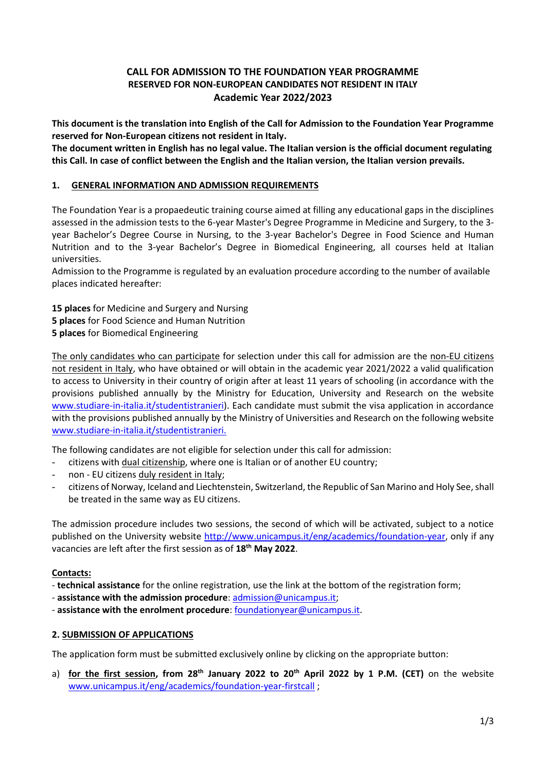## **CALL FOR ADMISSION TO THE FOUNDATION YEAR PROGRAMME RESERVED FOR NON-EUROPEAN CANDIDATES NOT RESIDENT IN ITALY Academic Year 2022/2023**

**This document is the translation into English of the Call for Admission to the Foundation Year Programme reserved for Non-European citizens not resident in Italy.**

**The document written in English has no legal value. The Italian version is the official document regulating this Call. In case of conflict between the English and the Italian version, the Italian version prevails.**

## **1. GENERAL INFORMATION AND ADMISSION REQUIREMENTS**

The Foundation Year is a propaedeutic training course aimed at filling any educational gaps in the disciplines assessed in the admission tests to the 6-year Master's Degree Programme in Medicine and Surgery, to the 3 year Bachelor's Degree Course in Nursing, to the 3-year Bachelor's Degree in Food Science and Human Nutrition and to the 3-year Bachelor's Degree in Biomedical Engineering, all courses held at Italian universities.

Admission to the Programme is regulated by an evaluation procedure according to the number of available places indicated hereafter:

**15 places** for Medicine and Surgery and Nursing **5 places** for Food Science and Human Nutrition **5 places** for Biomedical Engineering

The only candidates who can participate for selection under this call for admission are the non-EU citizens not resident in Italy, who have obtained or will obtain in the academic year 2021/2022 a valid qualification to access to University in their country of origin after at least 11 years of schooling (in accordance with the provisions published annually by the Ministry for Education, University and Research on the website [www.studiare-in-italia.it/studentistranieri\)](file://///unicampus-int.it/dfshares/usr_docs/e.varasi/Downloads/www.studiare-in-italia.it/studentistranieri). Each candidate must submit the visa application in accordance with the provisions published annually by the Ministry of Universities and Research on the following website [www.studiare-in-italia.it/studentistranieri.](http://www.studiare-in-italia.it/studentistranieri)

The following candidates are not eligible for selection under this call for admission:

- citizens with dual citizenship, where one is Italian or of another EU country;
- non EU citizens duly resident in Italy;
- citizens of Norway, Iceland and Liechtenstein, Switzerland, the Republic of San Marino and Holy See, shall be treated in the same way as EU citizens.

The admission procedure includes two sessions, the second of which will be activated, subject to a notice published on the University website [http://www.unicampus.it/eng/academics/foundation-year,](http://www.unicampus.it/eng/academics/foundation-year) only if any vacancies are left after the first session as of **18th May 2022**.

## **Contacts:**

- **technical assistance** for the online registration, use the link at the bottom of the registration form;
- **assistance with the admission procedure**: [admission@unicampus.it;](mailto:admission@unicampus.it)
- **assistance with the enrolment procedure**[: foundationyear@unicampus.it.](mailto:foundationyear@unicampus.it)

# **2. SUBMISSION OF APPLICATIONS**

The application form must be submitted exclusively online by clicking on the appropriate button:

a) **for the first session, from 28th January 2022 to 20th April 2022 by 1 P.M. (CET)** on the website [www.unicampus.it/eng/academics/foundation-year-firstcall](http://www.unicampus.it/eng/academics/foundation-year-firstcall) ;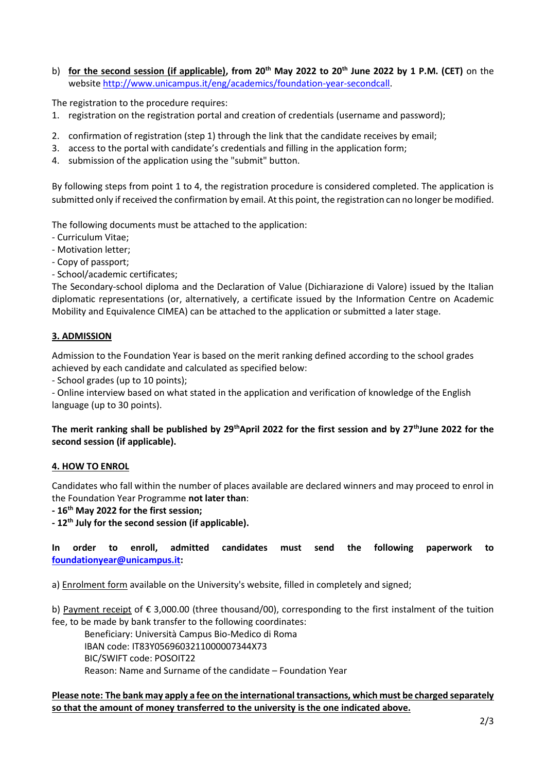b) **for the second session (if applicable), from 20th May 2022 to 20th June 2022 by 1 P.M. (CET)** on the website [http://www.unicampus.it/eng/academics/foundation-year-secondcall.](http://www.unicampus.it/eng/academics/foundation-year-secondcall)

The registration to the procedure requires:

- 1. registration on the registration portal and creation of credentials (username and password);
- 2. confirmation of registration (step 1) through the link that the candidate receives by email;
- 3. access to the portal with candidate's credentials and filling in the application form;
- 4. submission of the application using the "submit" button.

By following steps from point 1 to 4, the registration procedure is considered completed. The application is submitted only if received the confirmation by email. At this point, the registration can no longer be modified.

The following documents must be attached to the application:

- Curriculum Vitae;
- Motivation letter;
- Copy of passport;

- School/academic certificates;

The Secondary-school diploma and the Declaration of Value (Dichiarazione di Valore) issued by the Italian diplomatic representations (or, alternatively, a certificate issued by the Information Centre on Academic Mobility and Equivalence CIMEA) can be attached to the application or submitted a later stage.

### **3. ADMISSION**

Admission to the Foundation Year is based on the merit ranking defined according to the school grades achieved by each candidate and calculated as specified below:

- School grades (up to 10 points);

- Online interview based on what stated in the application and verification of knowledge of the English language (up to 30 points).

### **The merit ranking shall be published by 29thApril 2022 for the first session and by 27thJune 2022 for the second session (if applicable).**

#### **4. HOW TO ENROL**

Candidates who fall within the number of places available are declared winners and may proceed to enrol in the Foundation Year Programme **not later than**:

**- 16th May 2022 for the first session;**

**- 12th July for the second session (if applicable).**

**In order to enroll, admitted candidates must send the following paperwork to [foundationyear@unicampus.it:](mailto:foundationyear@unicampus.it)**

a) Enrolment form available on the University's website, filled in completely and signed;

b) Payment receipt of € 3,000.00 (three thousand/00), corresponding to the first instalment of the tuition fee, to be made by bank transfer to the following coordinates:

Beneficiary: Università Campus Bio-Medico di Roma IBAN code: IT83Y0569603211000007344X73 BIC/SWIFT code: POSOIT22 Reason: Name and Surname of the candidate – Foundation Year

### **Please note: The bank may apply a fee on the international transactions, which must be charged separately so that the amount of money transferred to the university is the one indicated above.**